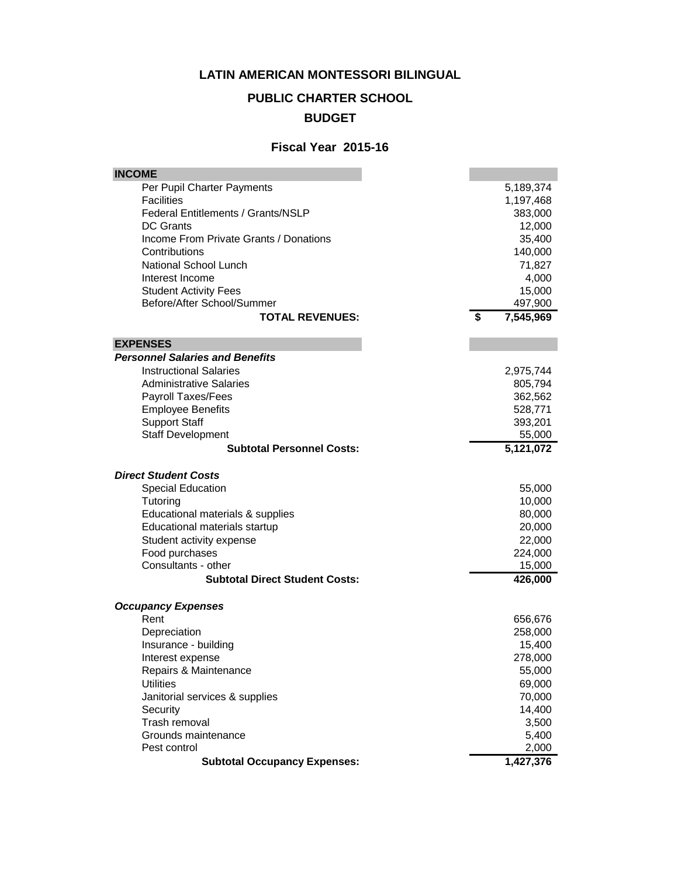#### **LATIN AMERICAN MONTESSORI BILINGUAL**

# **PUBLIC CHARTER SCHOOL**

## **BUDGET**

#### **Fiscal Year 2015-16**

| <b>INCOME</b>                             |                 |
|-------------------------------------------|-----------------|
| Per Pupil Charter Payments                | 5,189,374       |
| <b>Facilities</b>                         | 1,197,468       |
| <b>Federal Entitlements / Grants/NSLP</b> | 383,000         |
| <b>DC Grants</b>                          | 12,000          |
| Income From Private Grants / Donations    | 35,400          |
| Contributions                             | 140,000         |
| National School Lunch                     | 71,827          |
| Interest Income                           | 4,000           |
| <b>Student Activity Fees</b>              | 15,000          |
| Before/After School/Summer                | 497,900         |
| <b>TOTAL REVENUES:</b>                    | \$<br>7,545,969 |
| <b>EXPENSES</b>                           |                 |
| <b>Personnel Salaries and Benefits</b>    |                 |
| <b>Instructional Salaries</b>             | 2,975,744       |
| <b>Administrative Salaries</b>            | 805,794         |
| Payroll Taxes/Fees                        | 362,562         |
| <b>Employee Benefits</b>                  | 528,771         |
| <b>Support Staff</b>                      | 393,201         |
| <b>Staff Development</b>                  | 55,000          |
| <b>Subtotal Personnel Costs:</b>          | 5,121,072       |
|                                           |                 |
| <b>Direct Student Costs</b>               |                 |
| <b>Special Education</b>                  | 55,000          |
| Tutoring                                  | 10,000          |
| Educational materials & supplies          | 80,000          |
| Educational materials startup             | 20,000          |
| Student activity expense                  | 22,000          |
| Food purchases                            | 224,000         |
| Consultants - other                       | 15,000          |
| <b>Subtotal Direct Student Costs:</b>     | 426,000         |
| <b>Occupancy Expenses</b>                 |                 |
| Rent                                      | 656,676         |
| Depreciation                              | 258,000         |
| Insurance - building                      | 15,400          |
| Interest expense                          | 278,000         |
| Repairs & Maintenance                     | 55,000          |
| <b>Utilities</b>                          | 69,000          |
| Janitorial services & supplies            | 70,000          |
| Security                                  | 14,400          |
| Trash removal                             | 3,500           |
| Grounds maintenance                       | 5,400           |
| Pest control                              | 2,000           |
| <b>Subtotal Occupancy Expenses:</b>       | 1,427,376       |